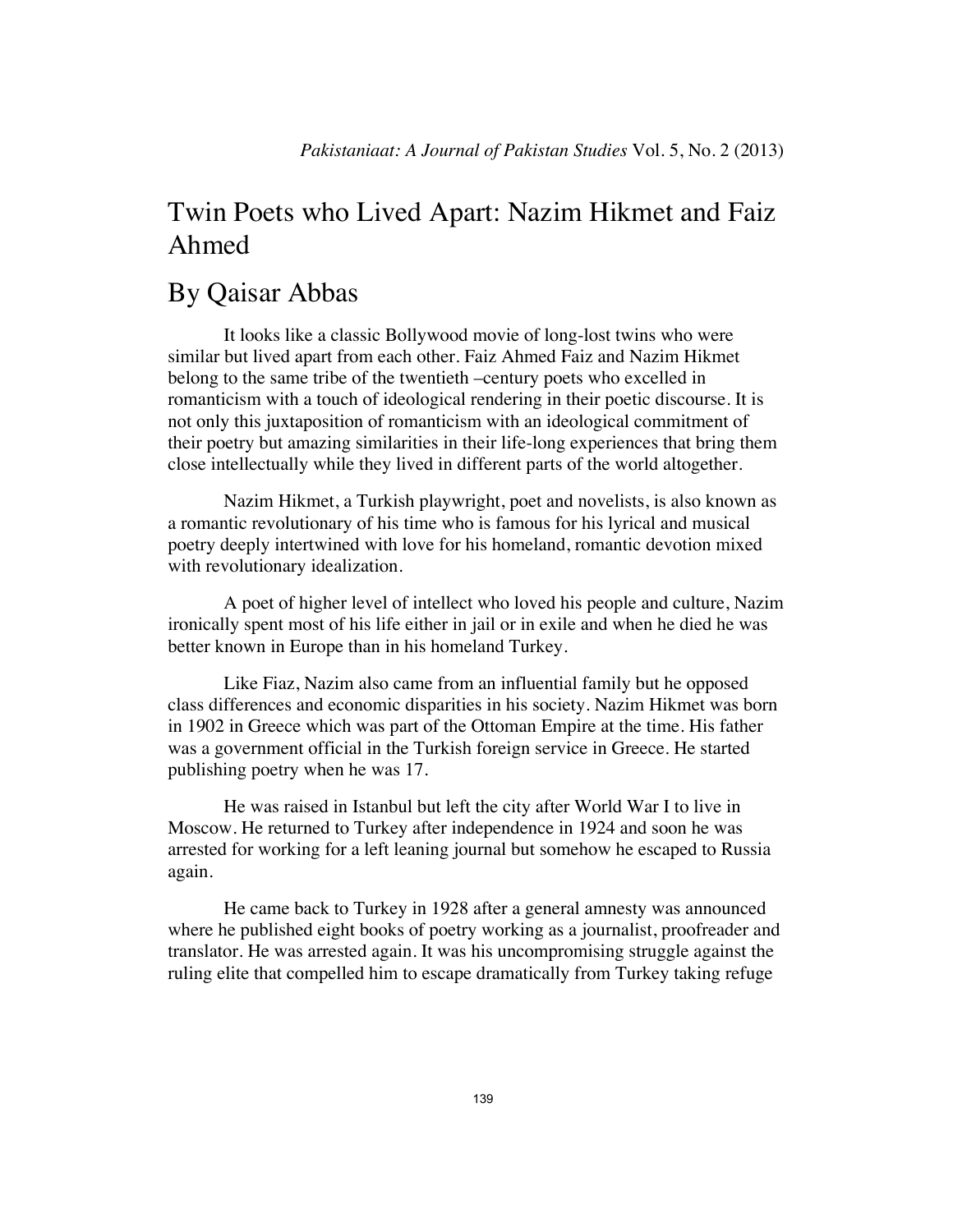# Twin Poets who Lived Apart: Nazim Hikmet and Faiz Ahmed

# By Qaisar Abbas

It looks like a classic Bollywood movie of long-lost twins who were similar but lived apart from each other. Faiz Ahmed Faiz and Nazim Hikmet belong to the same tribe of the twentieth –century poets who excelled in romanticism with a touch of ideological rendering in their poetic discourse. It is not only this juxtaposition of romanticism with an ideological commitment of their poetry but amazing similarities in their life-long experiences that bring them close intellectually while they lived in different parts of the world altogether.

Nazim Hikmet, a Turkish playwright, poet and novelists, is also known as a romantic revolutionary of his time who is famous for his lyrical and musical poetry deeply intertwined with love for his homeland, romantic devotion mixed with revolutionary idealization.

A poet of higher level of intellect who loved his people and culture, Nazim ironically spent most of his life either in jail or in exile and when he died he was better known in Europe than in his homeland Turkey.

Like Fiaz, Nazim also came from an influential family but he opposed class differences and economic disparities in his society. Nazim Hikmet was born in 1902 in Greece which was part of the Ottoman Empire at the time. His father was a government official in the Turkish foreign service in Greece. He started publishing poetry when he was 17.

He was raised in Istanbul but left the city after World War I to live in Moscow. He returned to Turkey after independence in 1924 and soon he was arrested for working for a left leaning journal but somehow he escaped to Russia again.

He came back to Turkey in 1928 after a general amnesty was announced where he published eight books of poetry working as a journalist, proofreader and translator. He was arrested again. It was his uncompromising struggle against the ruling elite that compelled him to escape dramatically from Turkey taking refuge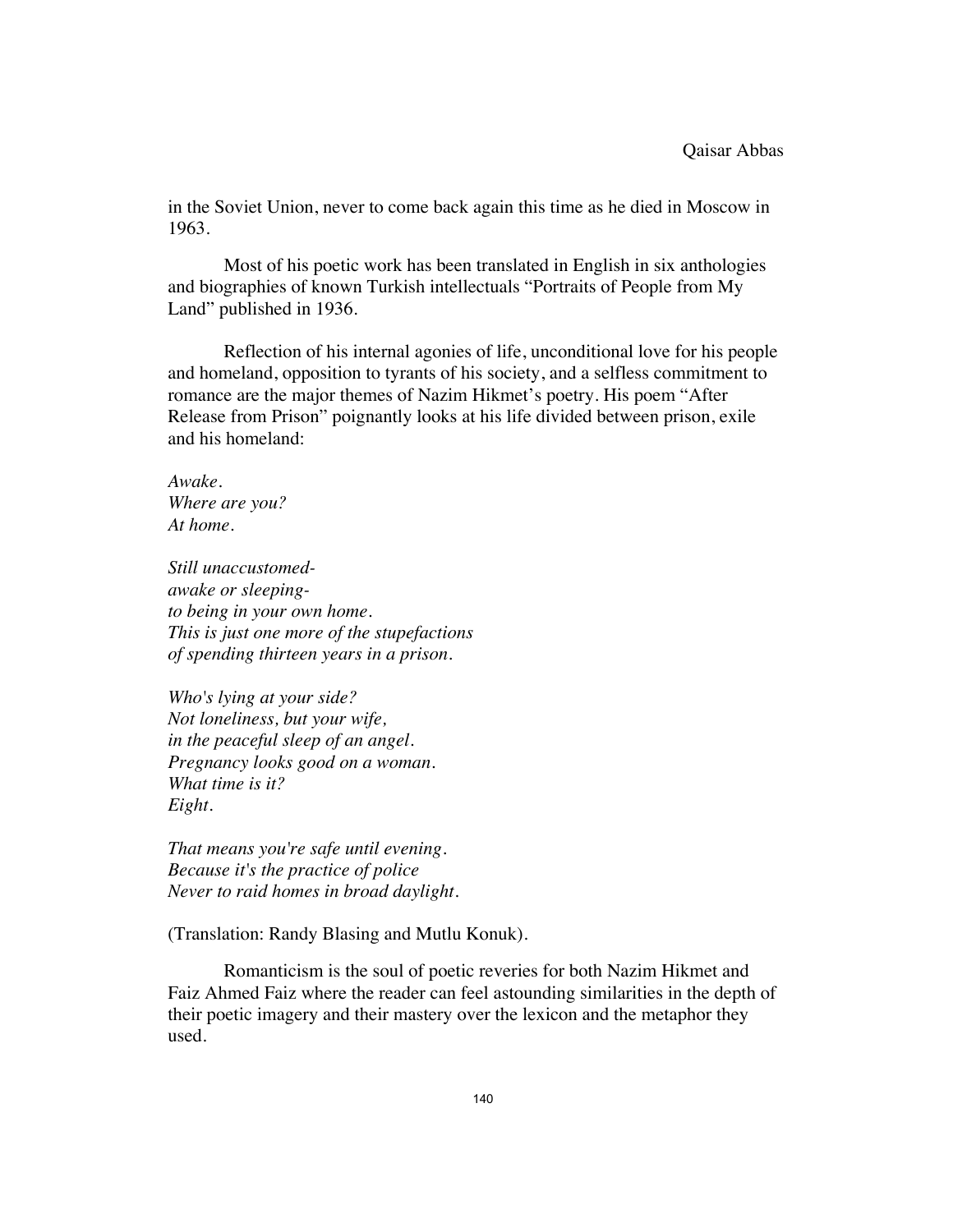in the Soviet Union, never to come back again this time as he died in Moscow in 1963.

Most of his poetic work has been translated in English in six anthologies and biographies of known Turkish intellectuals "Portraits of People from My Land" published in 1936.

Reflection of his internal agonies of life, unconditional love for his people and homeland, opposition to tyrants of his society, and a selfless commitment to romance are the major themes of Nazim Hikmet's poetry. His poem "After Release from Prison" poignantly looks at his life divided between prison, exile and his homeland:

*Awake. Where are you? At home.* 

*Still unaccustomedawake or sleepingto being in your own home. This is just one more of the stupefactions of spending thirteen years in a prison.* 

*Who's lying at your side? Not loneliness, but your wife, in the peaceful sleep of an angel. Pregnancy looks good on a woman. What time is it? Eight.* 

*That means you're safe until evening. Because it's the practice of police Never to raid homes in broad daylight.* 

(Translation: Randy Blasing and Mutlu Konuk).

Romanticism is the soul of poetic reveries for both Nazim Hikmet and Faiz Ahmed Faiz where the reader can feel astounding similarities in the depth of their poetic imagery and their mastery over the lexicon and the metaphor they used.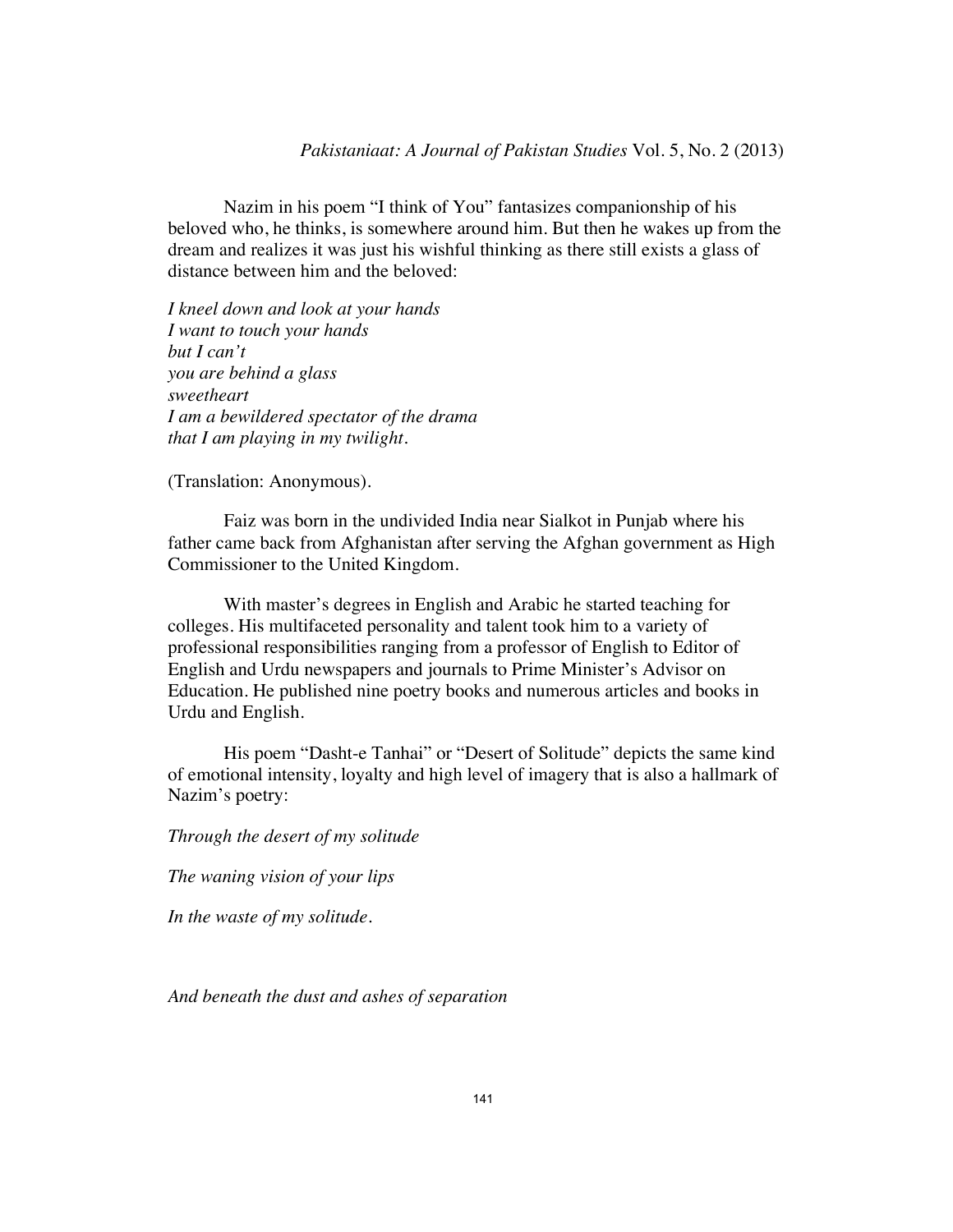Nazim in his poem "I think of You" fantasizes companionship of his beloved who, he thinks, is somewhere around him. But then he wakes up from the dream and realizes it was just his wishful thinking as there still exists a glass of distance between him and the beloved:

*I kneel down and look at your hands I want to touch your hands but I can't you are behind a glass sweetheart I am a bewildered spectator of the drama that I am playing in my twilight.* 

(Translation: Anonymous).

Faiz was born in the undivided India near Sialkot in Punjab where his father came back from Afghanistan after serving the Afghan government as High Commissioner to the United Kingdom.

With master's degrees in English and Arabic he started teaching for colleges. His multifaceted personality and talent took him to a variety of professional responsibilities ranging from a professor of English to Editor of English and Urdu newspapers and journals to Prime Minister's Advisor on Education. He published nine poetry books and numerous articles and books in Urdu and English.

His poem "Dasht-e Tanhai" or "Desert of Solitude" depicts the same kind of emotional intensity, loyalty and high level of imagery that is also a hallmark of Nazim's poetry:

*Through the desert of my solitude* 

*The waning vision of your lips* 

*In the waste of my solitude.* 

*And beneath the dust and ashes of separation*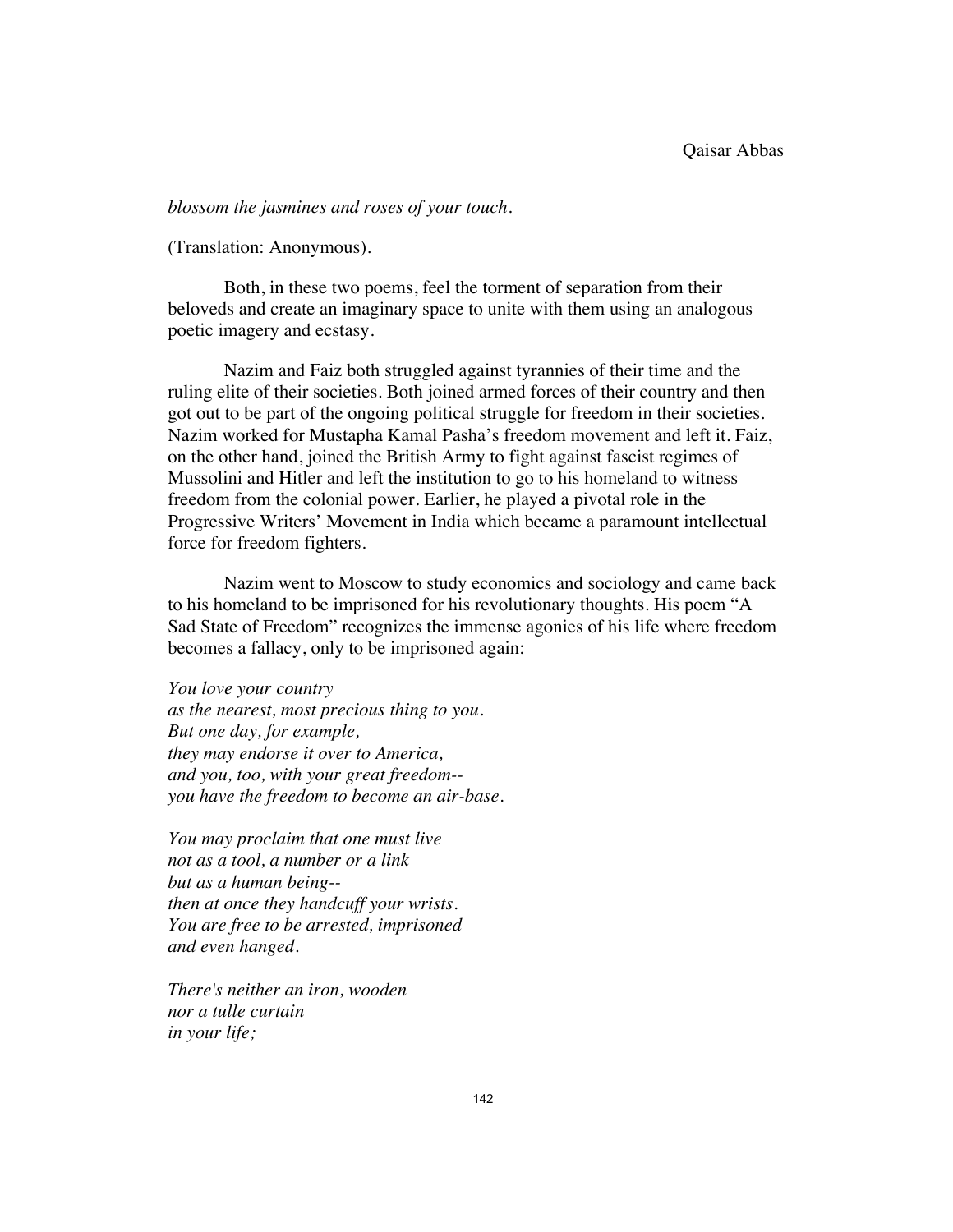#### *blossom the jasmines and roses of your touch.*

(Translation: Anonymous).

Both, in these two poems, feel the torment of separation from their beloveds and create an imaginary space to unite with them using an analogous poetic imagery and ecstasy.

Nazim and Faiz both struggled against tyrannies of their time and the ruling elite of their societies. Both joined armed forces of their country and then got out to be part of the ongoing political struggle for freedom in their societies. Nazim worked for Mustapha Kamal Pasha's freedom movement and left it. Faiz, on the other hand, joined the British Army to fight against fascist regimes of Mussolini and Hitler and left the institution to go to his homeland to witness freedom from the colonial power. Earlier, he played a pivotal role in the Progressive Writers' Movement in India which became a paramount intellectual force for freedom fighters.

Nazim went to Moscow to study economics and sociology and came back to his homeland to be imprisoned for his revolutionary thoughts. His poem "A Sad State of Freedom" recognizes the immense agonies of his life where freedom becomes a fallacy, only to be imprisoned again:

*You love your country as the nearest, most precious thing to you. But one day, for example, they may endorse it over to America, and you, too, with your great freedom- you have the freedom to become an air-base.* 

*You may proclaim that one must live not as a tool, a number or a link but as a human being- then at once they handcuff your wrists. You are free to be arrested, imprisoned and even hanged.* 

*There's neither an iron, wooden nor a tulle curtain in your life;*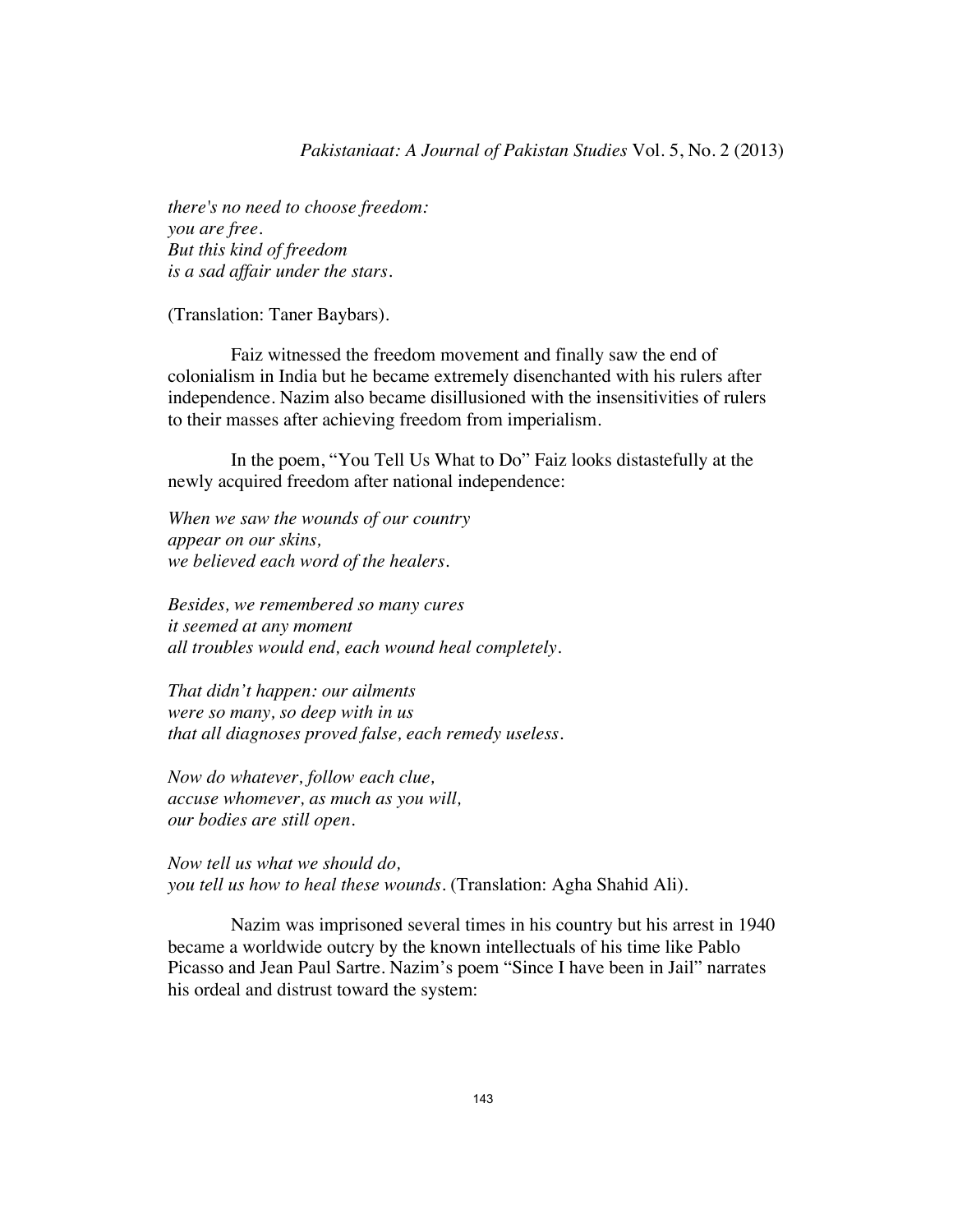### *Pakistaniaat: A Journal of Pakistan Studies* Vol. 5, No. 2 (2013)

*there's no need to choose freedom: you are free. But this kind of freedom is a sad affair under the stars.* 

(Translation: Taner Baybars).

Faiz witnessed the freedom movement and finally saw the end of colonialism in India but he became extremely disenchanted with his rulers after independence. Nazim also became disillusioned with the insensitivities of rulers to their masses after achieving freedom from imperialism.

 In the poem, "You Tell Us What to Do" Faiz looks distastefully at the newly acquired freedom after national independence:

*When we saw the wounds of our country appear on our skins, we believed each word of the healers.* 

*Besides, we remembered so many cures it seemed at any moment all troubles would end, each wound heal completely.* 

*That didn't happen: our ailments were so many, so deep with in us that all diagnoses proved false, each remedy useless.* 

*Now do whatever, follow each clue, accuse whomever, as much as you will, our bodies are still open.* 

*Now tell us what we should do, you tell us how to heal these wounds.* (Translation: Agha Shahid Ali).

 Nazim was imprisoned several times in his country but his arrest in 1940 became a worldwide outcry by the known intellectuals of his time like Pablo Picasso and Jean Paul Sartre. Nazim's poem "Since I have been in Jail" narrates his ordeal and distrust toward the system: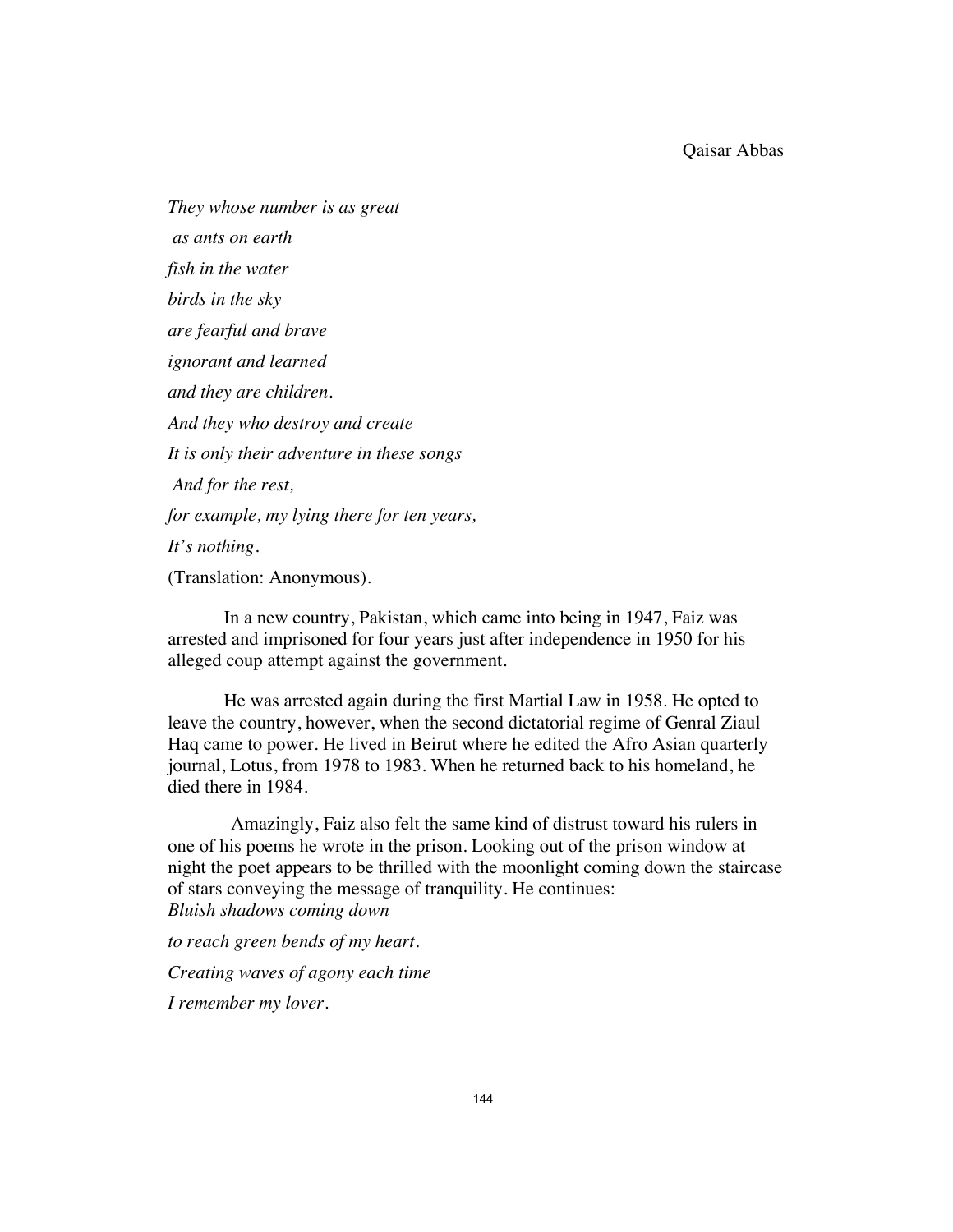*They whose number is as great as ants on earth fish in the water birds in the sky are fearful and brave ignorant and learned and they are children. And they who destroy and create It is only their adventure in these songs And for the rest, for example, my lying there for ten years, It's nothing.*  (Translation: Anonymous).

In a new country, Pakistan, which came into being in 1947, Faiz was arrested and imprisoned for four years just after independence in 1950 for his alleged coup attempt against the government.

He was arrested again during the first Martial Law in 1958. He opted to leave the country, however, when the second dictatorial regime of Genral Ziaul Haq came to power. He lived in Beirut where he edited the Afro Asian quarterly journal, Lotus, from 1978 to 1983. When he returned back to his homeland, he died there in 1984.

 Amazingly, Faiz also felt the same kind of distrust toward his rulers in one of his poems he wrote in the prison. Looking out of the prison window at night the poet appears to be thrilled with the moonlight coming down the staircase of stars conveying the message of tranquility. He continues: *Bluish shadows coming down* 

*to reach green bends of my heart.* 

*Creating waves of agony each time* 

*I remember my lover.*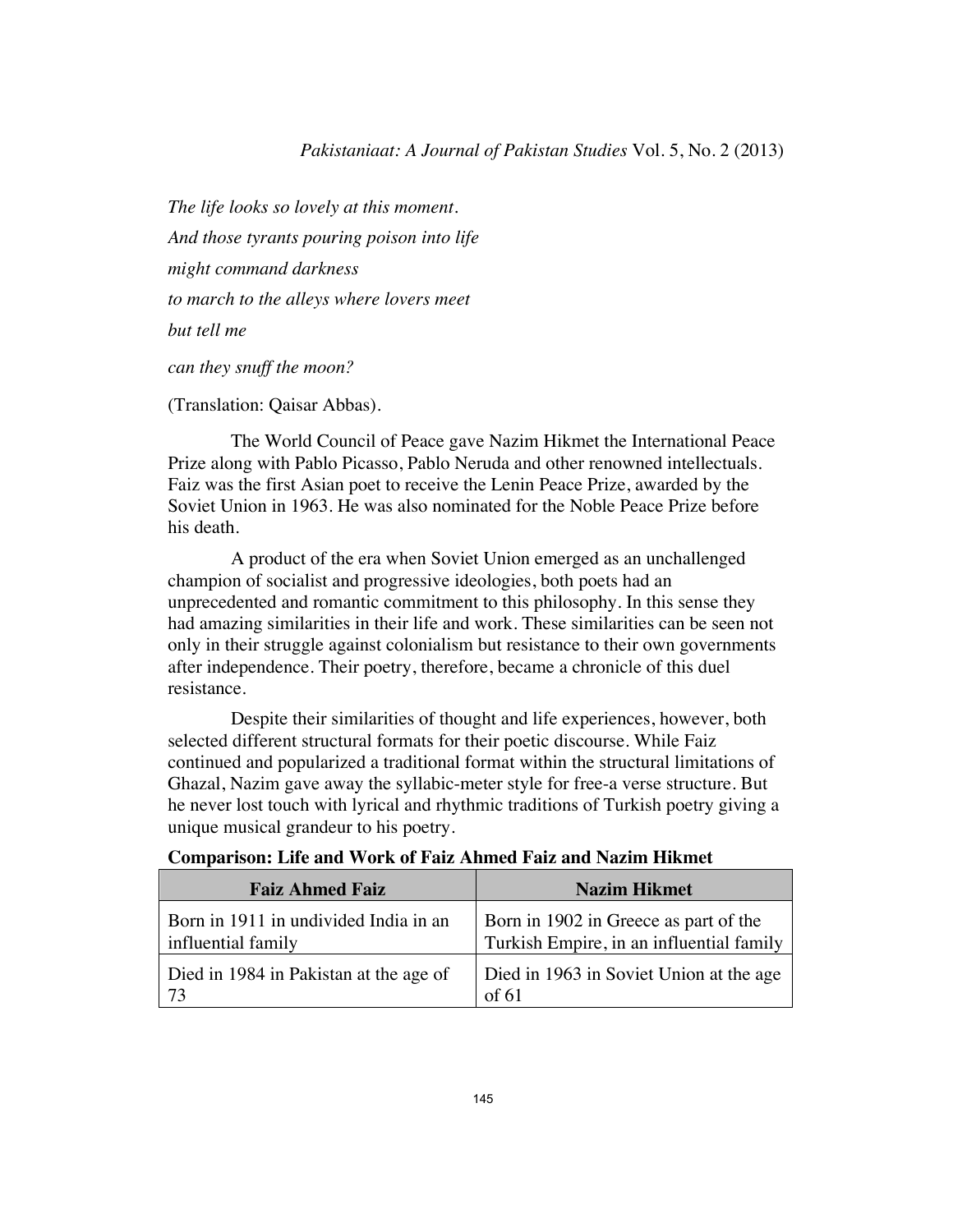*The life looks so lovely at this moment. And those tyrants pouring poison into life might command darkness to march to the alleys where lovers meet but tell me can they snuff the moon?* 

(Translation: Qaisar Abbas).

 The World Council of Peace gave Nazim Hikmet the International Peace Prize along with Pablo Picasso, Pablo Neruda and other renowned intellectuals. Faiz was the first Asian poet to receive the Lenin Peace Prize, awarded by the Soviet Union in 1963. He was also nominated for the Noble Peace Prize before his death.

 A product of the era when Soviet Union emerged as an unchallenged champion of socialist and progressive ideologies, both poets had an unprecedented and romantic commitment to this philosophy. In this sense they had amazing similarities in their life and work. These similarities can be seen not only in their struggle against colonialism but resistance to their own governments after independence. Their poetry, therefore, became a chronicle of this duel resistance.

 Despite their similarities of thought and life experiences, however, both selected different structural formats for their poetic discourse. While Faiz continued and popularized a traditional format within the structural limitations of Ghazal, Nazim gave away the syllabic-meter style for free-a verse structure. But he never lost touch with lyrical and rhythmic traditions of Turkish poetry giving a unique musical grandeur to his poetry.

| <b>Faiz Ahmed Faiz</b>                                      | <b>Nazim Hikmet</b>                                                               |
|-------------------------------------------------------------|-----------------------------------------------------------------------------------|
| Born in 1911 in undivided India in an<br>influential family | Born in 1902 in Greece as part of the<br>Turkish Empire, in an influential family |
| Died in 1984 in Pakistan at the age of                      | Died in 1963 in Soviet Union at the age<br>of 61                                  |

**Comparison: Life and Work of Faiz Ahmed Faiz and Nazim Hikmet**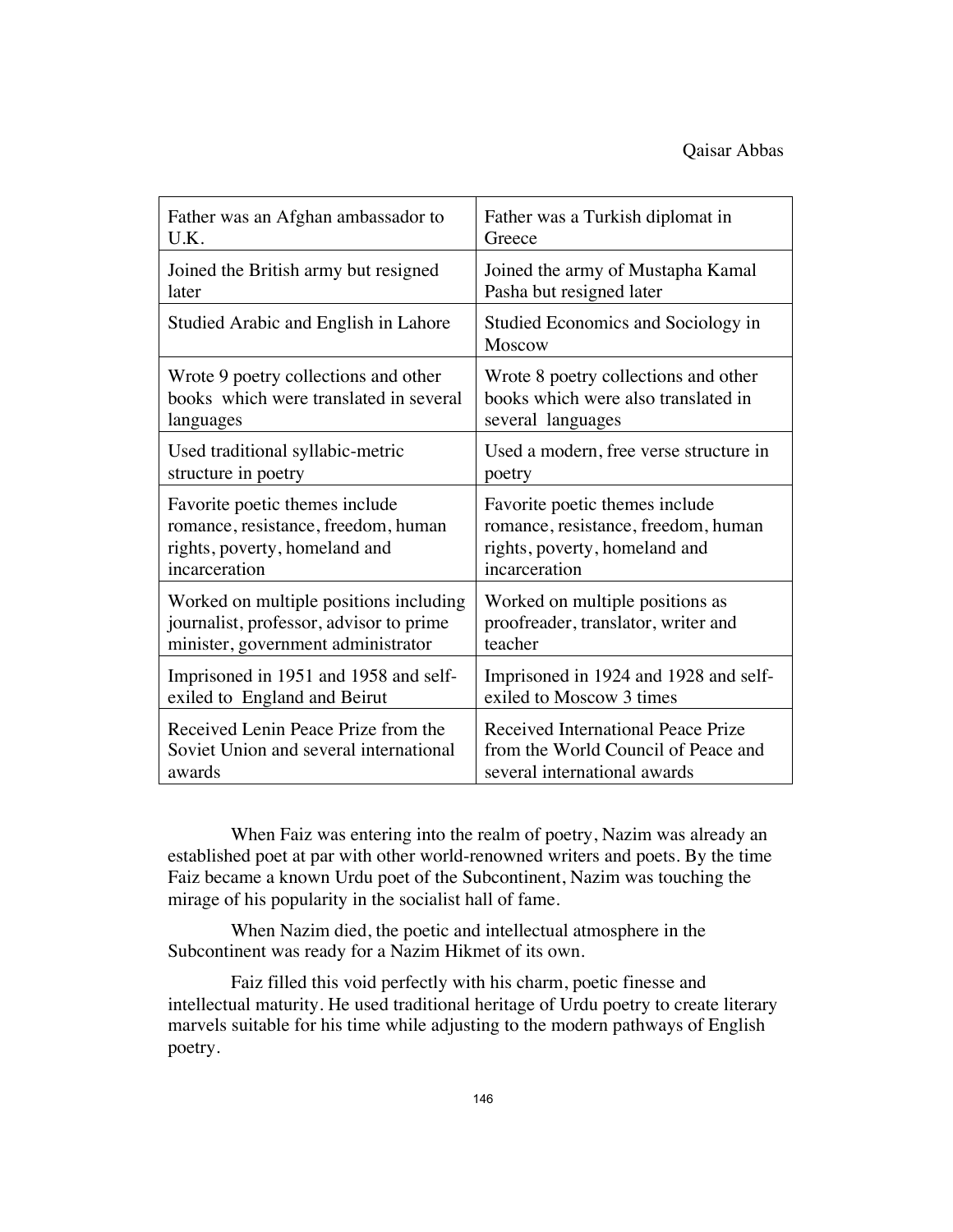| Father was an Afghan ambassador to      | Father was a Turkish diplomat in             |
|-----------------------------------------|----------------------------------------------|
| U.K.                                    | Greece                                       |
| Joined the British army but resigned    | Joined the army of Mustapha Kamal            |
| later                                   | Pasha but resigned later                     |
| Studied Arabic and English in Lahore    | Studied Economics and Sociology in<br>Moscow |
| Wrote 9 poetry collections and other    | Wrote 8 poetry collections and other         |
| books which were translated in several  | books which were also translated in          |
| languages                               | several languages                            |
| Used traditional syllabic-metric        | Used a modern, free verse structure in       |
| structure in poetry                     | poetry                                       |
| Favorite poetic themes include          | Favorite poetic themes include               |
| romance, resistance, freedom, human     | romance, resistance, freedom, human          |
| rights, poverty, homeland and           | rights, poverty, homeland and                |
| incarceration                           | incarceration                                |
| Worked on multiple positions including  | Worked on multiple positions as              |
| journalist, professor, advisor to prime | proofreader, translator, writer and          |
| minister, government administrator      | teacher                                      |
| Imprisoned in 1951 and 1958 and self-   | Imprisoned in 1924 and 1928 and self-        |
| exiled to England and Beirut            | exiled to Moscow 3 times                     |
| Received Lenin Peace Prize from the     | Received International Peace Prize           |
| Soviet Union and several international  | from the World Council of Peace and          |
| awards                                  | several international awards                 |

 When Faiz was entering into the realm of poetry, Nazim was already an established poet at par with other world-renowned writers and poets. By the time Faiz became a known Urdu poet of the Subcontinent, Nazim was touching the mirage of his popularity in the socialist hall of fame.

 When Nazim died, the poetic and intellectual atmosphere in the Subcontinent was ready for a Nazim Hikmet of its own.

 Faiz filled this void perfectly with his charm, poetic finesse and intellectual maturity. He used traditional heritage of Urdu poetry to create literary marvels suitable for his time while adjusting to the modern pathways of English poetry.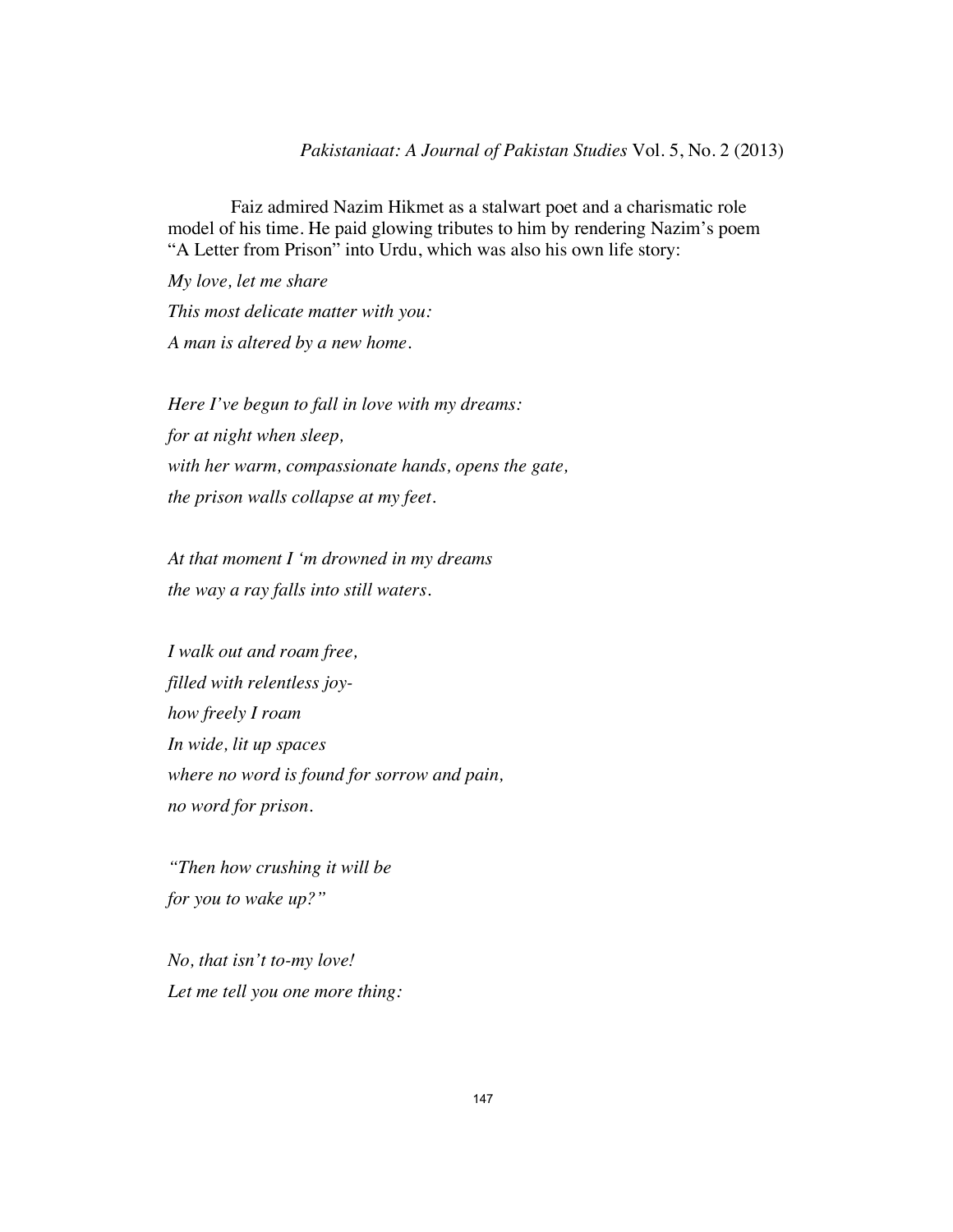Faiz admired Nazim Hikmet as a stalwart poet and a charismatic role model of his time. He paid glowing tributes to him by rendering Nazim's poem "A Letter from Prison" into Urdu, which was also his own life story:

*My love, let me share This most delicate matter with you: A man is altered by a new home.* 

*Here I've begun to fall in love with my dreams: for at night when sleep, with her warm, compassionate hands, opens the gate, the prison walls collapse at my feet.* 

*At that moment I 'm drowned in my dreams the way a ray falls into still waters.* 

*I walk out and roam free, filled with relentless joyhow freely I roam In wide, lit up spaces where no word is found for sorrow and pain, no word for prison.* 

*"Then how crushing it will be for you to wake up?"* 

*No, that isn't to-my love! Let me tell you one more thing:*